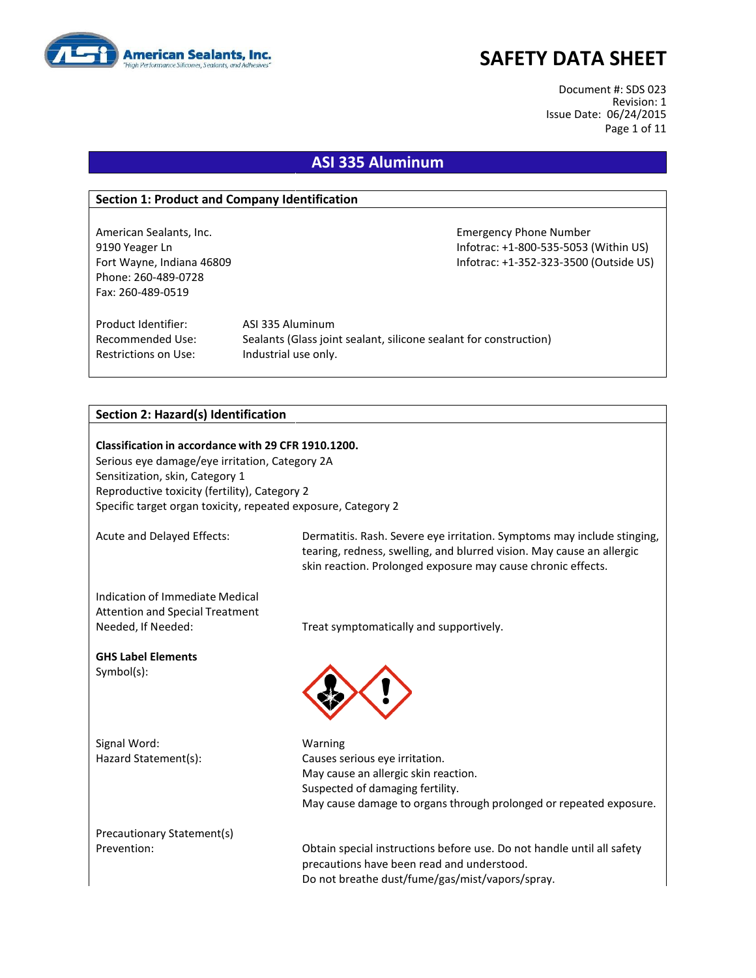

Document #: SDS 023 Revision: 1 Issue Date: 06/24/2015 Page 1 of 11

### **ASI 335 Aluminum**

#### **Section 1: Product and Company Identification**

American Sealants, Inc. **Emergency Phone Number** Emergency Phone Number Phone: 260-489-0728 Fax: 260-489-0519

9190 Yeager Ln Infotrac: +1-800-535-5053 (Within US) Fort Wayne, Indiana 46809 **Information Controller Server Accord Provide CO**S) **Infotrac: +1-352-323-3500 (Outside US)** 

Product Identifier: ASI 335 Aluminum Restrictions on Use: Industrial use only.

Recommended Use: Sealants (Glass joint sealant, silicone sealant for construction)

#### **Section 2: Hazard(s) Identification**

**Classification in accordance with 29 CFR 1910.1200.** Serious eye damage/eye irritation, Category 2A Sensitization, skin, Category 1 Reproductive toxicity (fertility), Category 2 Specific target organ toxicity, repeated exposure, Category 2

Acute and Delayed Effects: Dermatitis. Rash. Severe eye irritation. Symptoms may include stinging, tearing, redness, swelling, and blurred vision. May cause an allergic skin reaction. Prolonged exposure may cause chronic effects.

Indication of Immediate Medical Attention and Special Treatment Needed, If Needed: Treat symptomatically and supportively.

**GHS Label Elements** Symbol(s):

Signal Word: Warning

Hazard Statement(s): Causes serious eye irritation. May cause an allergic skin reaction. Suspected of damaging fertility. May cause damage to organs through prolonged or repeated exposure.

Precautionary Statement(s)

Prevention: Obtain special instructions before use. Do not handle until all safety precautions have been read and understood. Do not breathe dust/fume/gas/mist/vapors/spray.

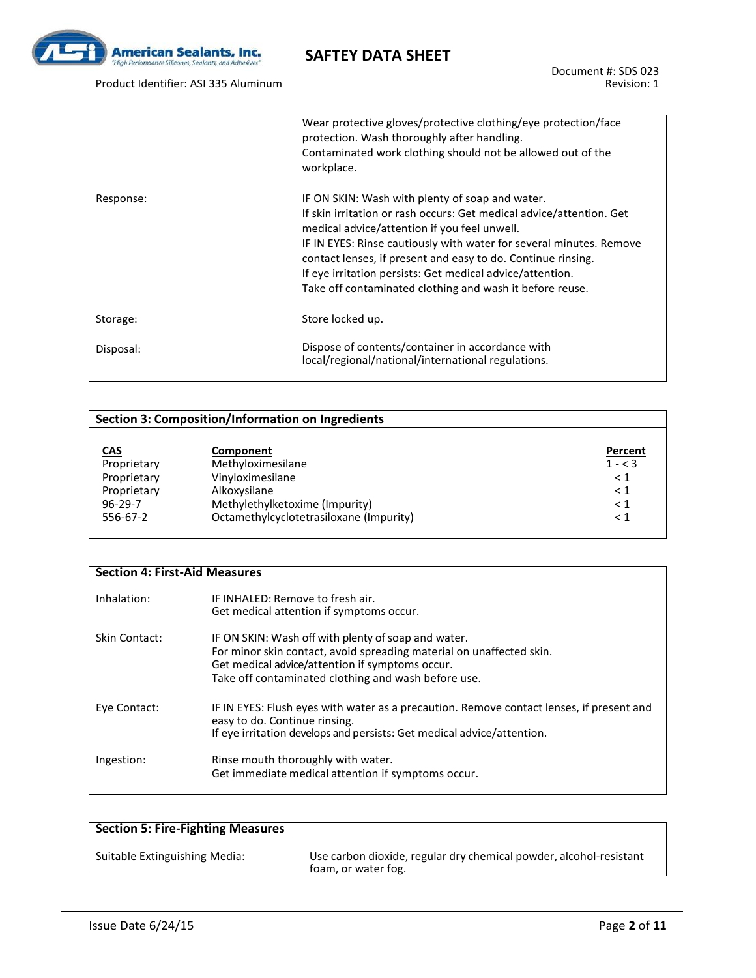

Product Identifier: ASI 335 Aluminum

Document #: SDS 023 Revision: 1

|           | Wear protective gloves/protective clothing/eye protection/face<br>protection. Wash thoroughly after handling.<br>Contaminated work clothing should not be allowed out of the<br>workplace.                                                                                                                                                                                                                                              |
|-----------|-----------------------------------------------------------------------------------------------------------------------------------------------------------------------------------------------------------------------------------------------------------------------------------------------------------------------------------------------------------------------------------------------------------------------------------------|
| Response: | IF ON SKIN: Wash with plenty of soap and water.<br>If skin irritation or rash occurs: Get medical advice/attention. Get<br>medical advice/attention if you feel unwell.<br>IF IN EYES: Rinse cautiously with water for several minutes. Remove<br>contact lenses, if present and easy to do. Continue rinsing.<br>If eye irritation persists: Get medical advice/attention.<br>Take off contaminated clothing and wash it before reuse. |
| Storage:  | Store locked up.                                                                                                                                                                                                                                                                                                                                                                                                                        |
| Disposal: | Dispose of contents/container in accordance with<br>local/regional/national/international regulations.                                                                                                                                                                                                                                                                                                                                  |

### **Section 3: Composition/Information on Ingredients**

| <b>CAS</b><br>Proprietary<br>Proprietary | Component<br>Methyloximesilane<br>Vinyloximesilane | Percent<br>$1 - < 3$<br>< 1 |
|------------------------------------------|----------------------------------------------------|-----------------------------|
| Proprietary                              | Alkoxysilane                                       | $\leq 1$                    |
| $96 - 29 - 7$                            | Methylethylketoxime (Impurity)                     | < 1                         |
| 556-67-2                                 | Octamethylcyclotetrasiloxane (Impurity)            | < 1                         |

| <b>Section 4: First-Aid Measures</b> |                                                                                                                           |
|--------------------------------------|---------------------------------------------------------------------------------------------------------------------------|
|                                      |                                                                                                                           |
| Inhalation:                          | IF INHALED: Remove to fresh air.                                                                                          |
|                                      | Get medical attention if symptoms occur.                                                                                  |
| Skin Contact:                        | IF ON SKIN: Wash off with plenty of soap and water.                                                                       |
|                                      | For minor skin contact, avoid spreading material on unaffected skin.                                                      |
|                                      | Get medical advice/attention if symptoms occur.                                                                           |
|                                      | Take off contaminated clothing and wash before use.                                                                       |
| Eye Contact:                         | IF IN EYES: Flush eyes with water as a precaution. Remove contact lenses, if present and<br>easy to do. Continue rinsing. |
|                                      | If eye irritation develops and persists: Get medical advice/attention.                                                    |
| Ingestion:                           | Rinse mouth thoroughly with water.<br>Get immediate medical attention if symptoms occur.                                  |
|                                      |                                                                                                                           |

| <b>Section 5: Fire-Fighting Measures</b> |                                                                                           |
|------------------------------------------|-------------------------------------------------------------------------------------------|
| Suitable Extinguishing Media:            | Use carbon dioxide, regular dry chemical powder, alcohol-resistant<br>foam, or water fog. |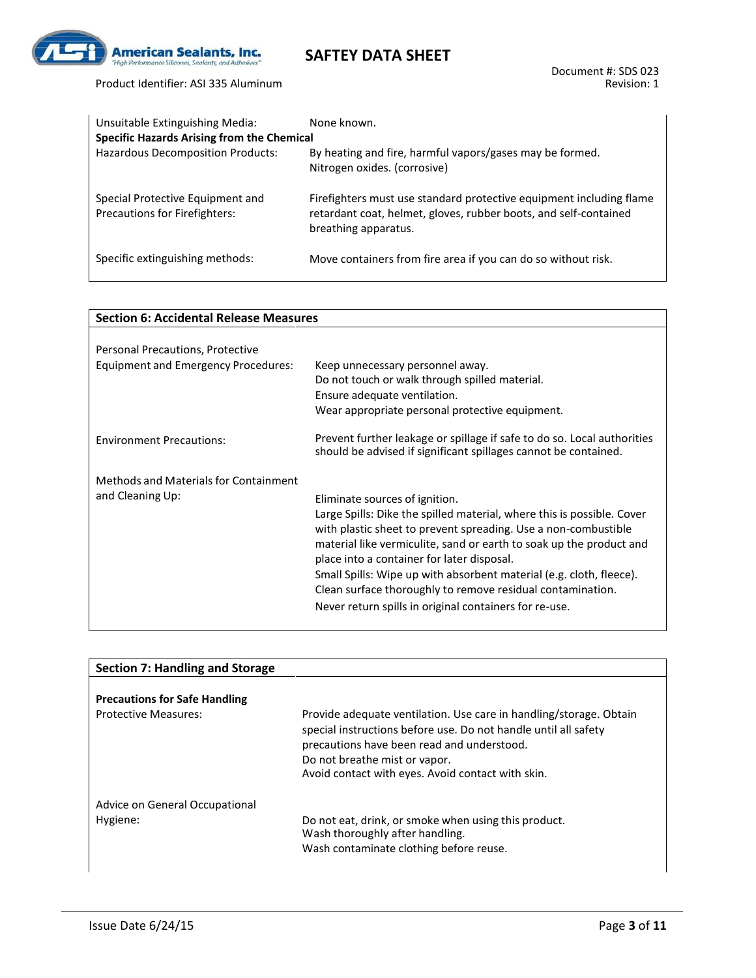

Product Identifier: ASI 335 Aluminum

#### Document #: SDS 023 Revision: 1

| Unsuitable Extinguishing Media:                                   | None known.                                                                                                                                                     |
|-------------------------------------------------------------------|-----------------------------------------------------------------------------------------------------------------------------------------------------------------|
| <b>Specific Hazards Arising from the Chemical</b>                 |                                                                                                                                                                 |
| Hazardous Decomposition Products:                                 | By heating and fire, harmful vapors/gases may be formed.<br>Nitrogen oxides. (corrosive)                                                                        |
| Special Protective Equipment and<br>Precautions for Firefighters: | Firefighters must use standard protective equipment including flame<br>retardant coat, helmet, gloves, rubber boots, and self-contained<br>breathing apparatus. |
| Specific extinguishing methods:                                   | Move containers from fire area if you can do so without risk.                                                                                                   |

**SAFTEY DATA SHEET**

|                                                           | <b>Section 6: Accidental Release Measures</b>                                                                                                                                                                                                                                                                                                                                                                                                                                                  |  |
|-----------------------------------------------------------|------------------------------------------------------------------------------------------------------------------------------------------------------------------------------------------------------------------------------------------------------------------------------------------------------------------------------------------------------------------------------------------------------------------------------------------------------------------------------------------------|--|
|                                                           |                                                                                                                                                                                                                                                                                                                                                                                                                                                                                                |  |
| Personal Precautions, Protective                          |                                                                                                                                                                                                                                                                                                                                                                                                                                                                                                |  |
| <b>Equipment and Emergency Procedures:</b>                | Keep unnecessary personnel away.<br>Do not touch or walk through spilled material.<br>Ensure adequate ventilation.<br>Wear appropriate personal protective equipment.                                                                                                                                                                                                                                                                                                                          |  |
| <b>Environment Precautions:</b>                           | Prevent further leakage or spillage if safe to do so. Local authorities<br>should be advised if significant spillages cannot be contained.                                                                                                                                                                                                                                                                                                                                                     |  |
| Methods and Materials for Containment<br>and Cleaning Up: | Eliminate sources of ignition.<br>Large Spills: Dike the spilled material, where this is possible. Cover<br>with plastic sheet to prevent spreading. Use a non-combustible<br>material like vermiculite, sand or earth to soak up the product and<br>place into a container for later disposal.<br>Small Spills: Wipe up with absorbent material (e.g. cloth, fleece).<br>Clean surface thoroughly to remove residual contamination.<br>Never return spills in original containers for re-use. |  |

| <b>Section 7: Handling and Storage</b> |                                                                                                                                                                                                                                                                           |
|----------------------------------------|---------------------------------------------------------------------------------------------------------------------------------------------------------------------------------------------------------------------------------------------------------------------------|
| <b>Precautions for Safe Handling</b>   |                                                                                                                                                                                                                                                                           |
| <b>Protective Measures:</b>            | Provide adequate ventilation. Use care in handling/storage. Obtain<br>special instructions before use. Do not handle until all safety<br>precautions have been read and understood.<br>Do not breathe mist or vapor.<br>Avoid contact with eyes. Avoid contact with skin. |
| Advice on General Occupational         |                                                                                                                                                                                                                                                                           |
| Hygiene:                               | Do not eat, drink, or smoke when using this product.<br>Wash thoroughly after handling.<br>Wash contaminate clothing before reuse.                                                                                                                                        |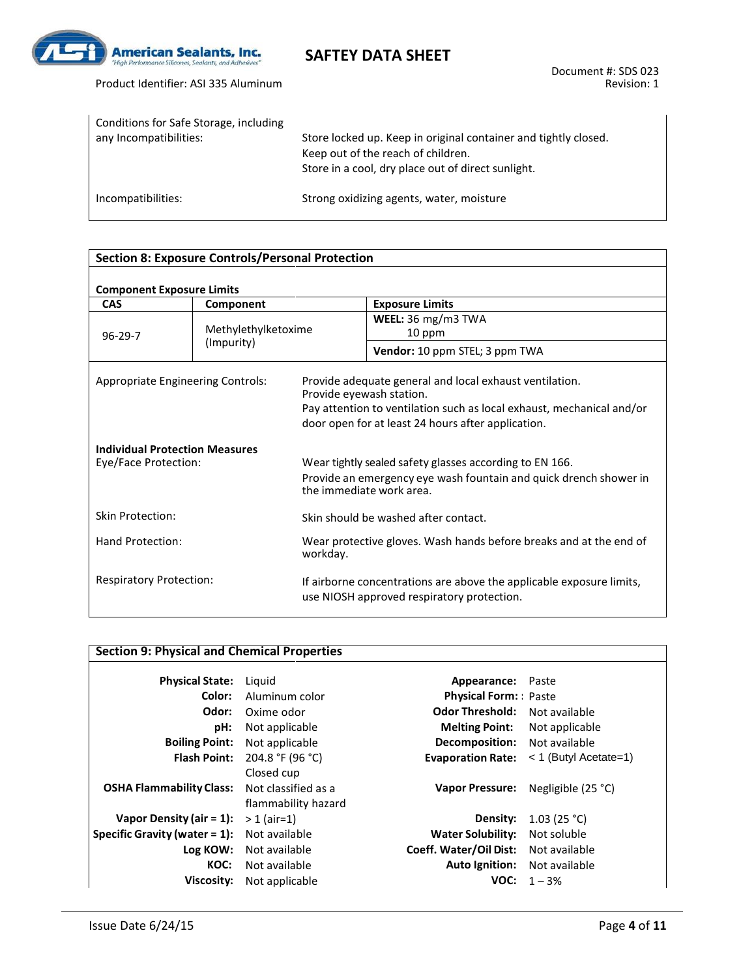

| Conditions for Safe Storage, including<br>any Incompatibilities: | Store locked up. Keep in original container and tightly closed.<br>Keep out of the reach of children.<br>Store in a cool, dry place out of direct sunlight. |
|------------------------------------------------------------------|-------------------------------------------------------------------------------------------------------------------------------------------------------------|
| Incompatibilities:                                               | Strong oxidizing agents, water, moisture                                                                                                                    |

#### **Section 8: Exposure Controls/Personal Protection**

### **Component Exposure Limits**

| COMPONENT EXPOSURE LIMINS                                     |                     |                          |                                                                                                                                                                                        |  |  |
|---------------------------------------------------------------|---------------------|--------------------------|----------------------------------------------------------------------------------------------------------------------------------------------------------------------------------------|--|--|
| <b>CAS</b>                                                    | Component           |                          | <b>Exposure Limits</b>                                                                                                                                                                 |  |  |
|                                                               | Methylethylketoxime |                          | WEEL: 36 mg/m3 TWA                                                                                                                                                                     |  |  |
| $96-29-7$                                                     |                     |                          | 10 ppm                                                                                                                                                                                 |  |  |
|                                                               | (Impurity)          |                          | Vendor: 10 ppm STEL; 3 ppm TWA                                                                                                                                                         |  |  |
| Appropriate Engineering Controls:                             |                     | Provide eyewash station. | Provide adequate general and local exhaust ventilation.<br>Pay attention to ventilation such as local exhaust, mechanical and/or<br>door open for at least 24 hours after application. |  |  |
| <b>Individual Protection Measures</b><br>Eye/Face Protection: |                     |                          | Wear tightly sealed safety glasses according to EN 166.                                                                                                                                |  |  |
|                                                               |                     |                          | Provide an emergency eye wash fountain and quick drench shower in<br>the immediate work area.                                                                                          |  |  |
| Skin Protection:                                              |                     |                          | Skin should be washed after contact.                                                                                                                                                   |  |  |
| Hand Protection:                                              |                     | workday.                 | Wear protective gloves. Wash hands before breaks and at the end of                                                                                                                     |  |  |
| <b>Respiratory Protection:</b>                                |                     |                          | If airborne concentrations are above the applicable exposure limits,<br>use NIOSH approved respiratory protection.                                                                     |  |  |
|                                                               |                     |                          |                                                                                                                                                                                        |  |  |

|                                  | <b>Section 9: Physical and Chemical Properties</b> |                             |                         |
|----------------------------------|----------------------------------------------------|-----------------------------|-------------------------|
|                                  |                                                    |                             |                         |
| <b>Physical State:</b>           | Liguid                                             | Appearance:                 | Paste                   |
| Color:                           | Aluminum color                                     | <b>Physical Form:</b> Paste |                         |
| Odor:                            | Oxime odor                                         | <b>Odor Threshold:</b>      | Not available           |
| pH:                              | Not applicable                                     | <b>Melting Point:</b>       | Not applicable          |
| <b>Boiling Point:</b>            | Not applicable                                     | <b>Decomposition:</b>       | Not available           |
| <b>Flash Point:</b>              | 204.8 °F (96 °C)                                   | <b>Evaporation Rate:</b>    | $<$ 1 (Butyl Acetate=1) |
|                                  | Closed cup                                         |                             |                         |
| <b>OSHA Flammability Class:</b>  | Not classified as a                                | <b>Vapor Pressure:</b>      | Negligible (25 °C)      |
|                                  | flammability hazard                                |                             |                         |
| Vapor Density (air = $1$ ):      | $> 1$ (air=1)                                      | Density:                    | 1.03 (25 °C)            |
| Specific Gravity (water $= 1$ ): | Not available                                      | <b>Water Solubility:</b>    | Not soluble             |
| Log KOW:                         | Not available                                      | Coeff. Water/Oil Dist:      | Not available           |
| KOC:                             | Not available                                      | <b>Auto Ignition:</b>       | Not available           |
| Viscosity:                       | Not applicable                                     | VOC:                        | $1 - 3%$                |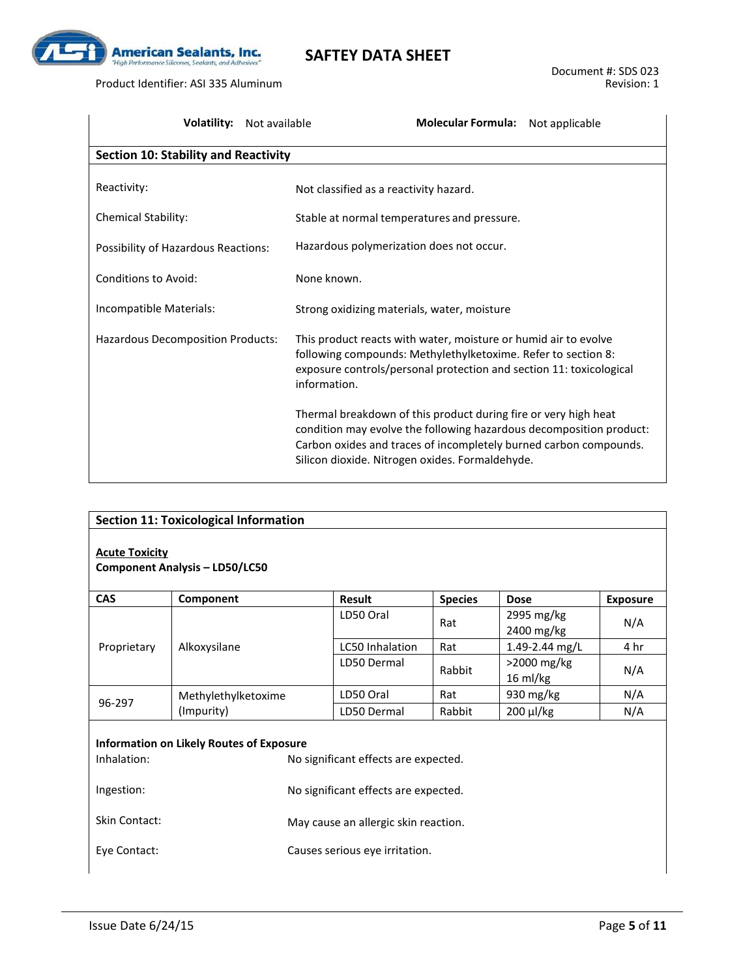

Product Identifier: ASI 335 Aluminum

| <b>Volatility:</b><br>Not available         | Molecular Formula: Not applicable                                                                                                                                                                                                                              |
|---------------------------------------------|----------------------------------------------------------------------------------------------------------------------------------------------------------------------------------------------------------------------------------------------------------------|
| <b>Section 10: Stability and Reactivity</b> |                                                                                                                                                                                                                                                                |
| Reactivity:                                 | Not classified as a reactivity hazard.                                                                                                                                                                                                                         |
| <b>Chemical Stability:</b>                  | Stable at normal temperatures and pressure.                                                                                                                                                                                                                    |
| Possibility of Hazardous Reactions:         | Hazardous polymerization does not occur.                                                                                                                                                                                                                       |
| Conditions to Avoid:                        | None known.                                                                                                                                                                                                                                                    |
| Incompatible Materials:                     | Strong oxidizing materials, water, moisture                                                                                                                                                                                                                    |
| Hazardous Decomposition Products:           | This product reacts with water, moisture or humid air to evolve<br>following compounds: Methylethylketoxime. Refer to section 8:<br>exposure controls/personal protection and section 11: toxicological<br>information.                                        |
|                                             | Thermal breakdown of this product during fire or very high heat<br>condition may evolve the following hazardous decomposition product:<br>Carbon oxides and traces of incompletely burned carbon compounds.<br>Silicon dioxide. Nitrogen oxides. Formaldehyde. |

| <b>Acute Toxicity</b>                                             | <b>Section 11: Toxicological Information</b><br><b>Component Analysis - LD50/LC50</b> |                                                                                                                                                        |                |                                   |                 |
|-------------------------------------------------------------------|---------------------------------------------------------------------------------------|--------------------------------------------------------------------------------------------------------------------------------------------------------|----------------|-----------------------------------|-----------------|
| <b>CAS</b>                                                        | Component                                                                             | Result                                                                                                                                                 | <b>Species</b> | <b>Dose</b>                       | <b>Exposure</b> |
|                                                                   |                                                                                       | LD50 Oral                                                                                                                                              | Rat            | 2995 mg/kg<br>2400 mg/kg          | N/A             |
| Proprietary                                                       | Alkoxysilane                                                                          | LC50 Inhalation                                                                                                                                        | Rat            | 1.49-2.44 mg/L                    | 4 hr            |
|                                                                   |                                                                                       | LD50 Dermal                                                                                                                                            | Rabbit         | >2000 mg/kg<br>$16 \text{ ml/kg}$ | N/A             |
|                                                                   | Methylethylketoxime                                                                   | LD50 Oral                                                                                                                                              | Rat            | 930 mg/kg                         | N/A             |
| 96-297                                                            | (Impurity)                                                                            | LD50 Dermal                                                                                                                                            | Rabbit         | 200 µl/kg                         | N/A             |
| Inhalation:<br>Ingestion:<br><b>Skin Contact:</b><br>Eye Contact: | <b>Information on Likely Routes of Exposure</b>                                       | No significant effects are expected.<br>No significant effects are expected.<br>May cause an allergic skin reaction.<br>Causes serious eye irritation. |                |                                   |                 |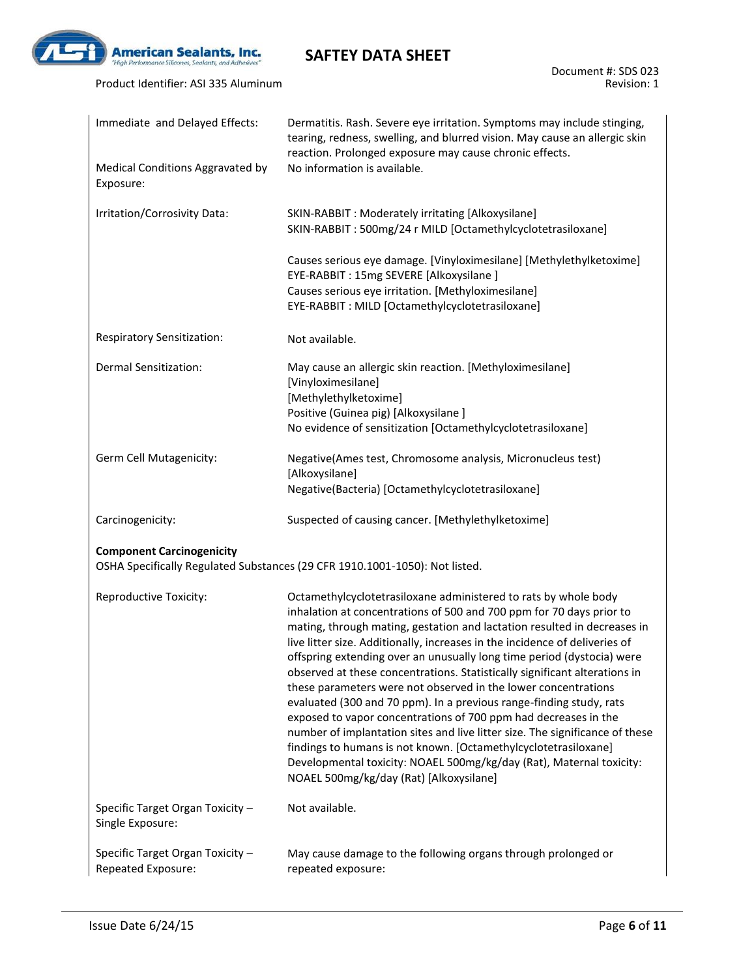

Product Identifier: ASI 335 Aluminum

| Immediate and Delayed Effects:                         | Dermatitis. Rash. Severe eye irritation. Symptoms may include stinging,<br>tearing, redness, swelling, and blurred vision. May cause an allergic skin<br>reaction. Prolonged exposure may cause chronic effects.                                                                                                                                                                                                                                                                                                                                                                                                                                                                                                                                                                                                                                                                                                                             |
|--------------------------------------------------------|----------------------------------------------------------------------------------------------------------------------------------------------------------------------------------------------------------------------------------------------------------------------------------------------------------------------------------------------------------------------------------------------------------------------------------------------------------------------------------------------------------------------------------------------------------------------------------------------------------------------------------------------------------------------------------------------------------------------------------------------------------------------------------------------------------------------------------------------------------------------------------------------------------------------------------------------|
| Medical Conditions Aggravated by<br>Exposure:          | No information is available.                                                                                                                                                                                                                                                                                                                                                                                                                                                                                                                                                                                                                                                                                                                                                                                                                                                                                                                 |
| Irritation/Corrosivity Data:                           | SKIN-RABBIT : Moderately irritating [Alkoxysilane]<br>SKIN-RABBIT: 500mg/24 r MILD [Octamethylcyclotetrasiloxane]                                                                                                                                                                                                                                                                                                                                                                                                                                                                                                                                                                                                                                                                                                                                                                                                                            |
|                                                        | Causes serious eye damage. [Vinyloximesilane] [Methylethylketoxime]<br>EYE-RABBIT: 15mg SEVERE [Alkoxysilane ]<br>Causes serious eye irritation. [Methyloximesilane]                                                                                                                                                                                                                                                                                                                                                                                                                                                                                                                                                                                                                                                                                                                                                                         |
|                                                        | EYE-RABBIT : MILD [Octamethylcyclotetrasiloxane]                                                                                                                                                                                                                                                                                                                                                                                                                                                                                                                                                                                                                                                                                                                                                                                                                                                                                             |
| Respiratory Sensitization:                             | Not available.                                                                                                                                                                                                                                                                                                                                                                                                                                                                                                                                                                                                                                                                                                                                                                                                                                                                                                                               |
| <b>Dermal Sensitization:</b>                           | May cause an allergic skin reaction. [Methyloximesilane]<br>[Vinyloximesilane]<br>[Methylethylketoxime]                                                                                                                                                                                                                                                                                                                                                                                                                                                                                                                                                                                                                                                                                                                                                                                                                                      |
|                                                        | Positive (Guinea pig) [Alkoxysilane]                                                                                                                                                                                                                                                                                                                                                                                                                                                                                                                                                                                                                                                                                                                                                                                                                                                                                                         |
|                                                        | No evidence of sensitization [Octamethylcyclotetrasiloxane]                                                                                                                                                                                                                                                                                                                                                                                                                                                                                                                                                                                                                                                                                                                                                                                                                                                                                  |
| Germ Cell Mutagenicity:                                | Negative(Ames test, Chromosome analysis, Micronucleus test)<br>[Alkoxysilane]                                                                                                                                                                                                                                                                                                                                                                                                                                                                                                                                                                                                                                                                                                                                                                                                                                                                |
|                                                        | Negative(Bacteria) [Octamethylcyclotetrasiloxane]                                                                                                                                                                                                                                                                                                                                                                                                                                                                                                                                                                                                                                                                                                                                                                                                                                                                                            |
| Carcinogenicity:                                       | Suspected of causing cancer. [Methylethylketoxime]                                                                                                                                                                                                                                                                                                                                                                                                                                                                                                                                                                                                                                                                                                                                                                                                                                                                                           |
| <b>Component Carcinogenicity</b>                       |                                                                                                                                                                                                                                                                                                                                                                                                                                                                                                                                                                                                                                                                                                                                                                                                                                                                                                                                              |
|                                                        | OSHA Specifically Regulated Substances (29 CFR 1910.1001-1050): Not listed.                                                                                                                                                                                                                                                                                                                                                                                                                                                                                                                                                                                                                                                                                                                                                                                                                                                                  |
| Reproductive Toxicity:                                 | Octamethylcyclotetrasiloxane administered to rats by whole body<br>inhalation at concentrations of 500 and 700 ppm for 70 days prior to<br>mating, through mating, gestation and lactation resulted in decreases in<br>live litter size. Additionally, increases in the incidence of deliveries of<br>offspring extending over an unusually long time period (dystocia) were<br>observed at these concentrations. Statistically significant alterations in<br>these parameters were not observed in the lower concentrations<br>evaluated (300 and 70 ppm). In a previous range-finding study, rats<br>exposed to vapor concentrations of 700 ppm had decreases in the<br>number of implantation sites and live litter size. The significance of these<br>findings to humans is not known. [Octamethylcyclotetrasiloxane]<br>Developmental toxicity: NOAEL 500mg/kg/day (Rat), Maternal toxicity:<br>NOAEL 500mg/kg/day (Rat) [Alkoxysilane] |
| Specific Target Organ Toxicity -<br>Single Exposure:   | Not available.                                                                                                                                                                                                                                                                                                                                                                                                                                                                                                                                                                                                                                                                                                                                                                                                                                                                                                                               |
| Specific Target Organ Toxicity -<br>Repeated Exposure: | May cause damage to the following organs through prolonged or<br>repeated exposure:                                                                                                                                                                                                                                                                                                                                                                                                                                                                                                                                                                                                                                                                                                                                                                                                                                                          |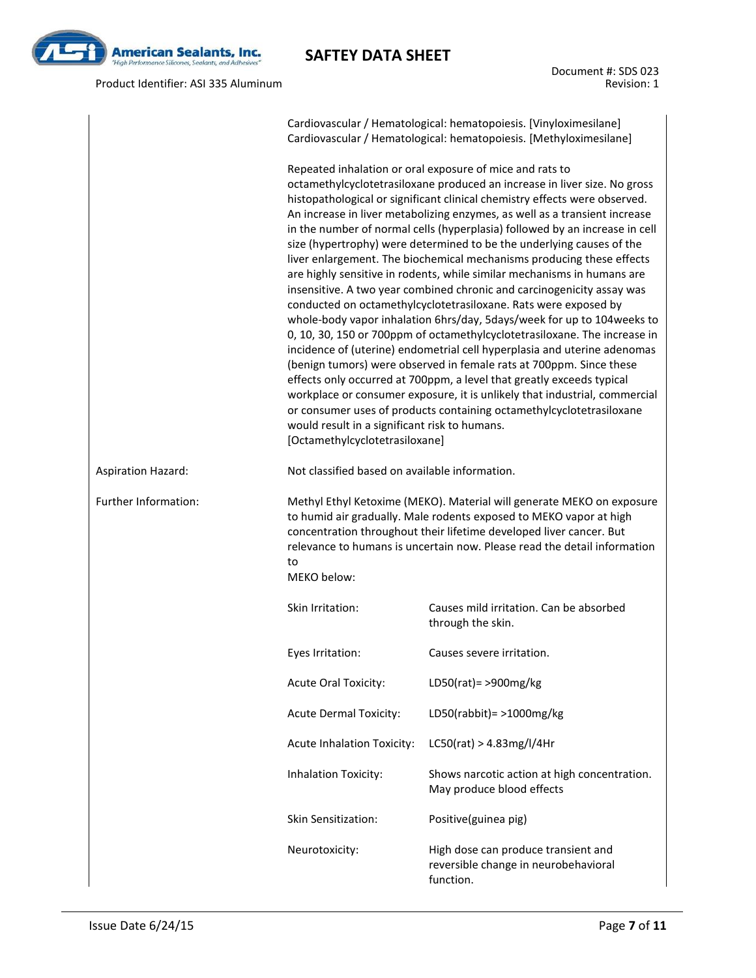

Product Identifier: ASI 335 Aluminum

Document #: SDS 023 Revision: 1

|                           |                                                                                                                                                                                                                                                                                                                                                                                                                                                                                                                                                                                                                                                                                                                                                                                                                                                                                                                                                                                                                                                                                                                                                                                                                                                                                                                                                                                         | Cardiovascular / Hematological: hematopoiesis. [Vinyloximesilane]<br>Cardiovascular / Hematological: hematopoiesis. [Methyloximesilane]                                                                                                                                                        |  |  |  |  |
|---------------------------|-----------------------------------------------------------------------------------------------------------------------------------------------------------------------------------------------------------------------------------------------------------------------------------------------------------------------------------------------------------------------------------------------------------------------------------------------------------------------------------------------------------------------------------------------------------------------------------------------------------------------------------------------------------------------------------------------------------------------------------------------------------------------------------------------------------------------------------------------------------------------------------------------------------------------------------------------------------------------------------------------------------------------------------------------------------------------------------------------------------------------------------------------------------------------------------------------------------------------------------------------------------------------------------------------------------------------------------------------------------------------------------------|------------------------------------------------------------------------------------------------------------------------------------------------------------------------------------------------------------------------------------------------------------------------------------------------|--|--|--|--|
|                           | Repeated inhalation or oral exposure of mice and rats to<br>octamethylcyclotetrasiloxane produced an increase in liver size. No gross<br>histopathological or significant clinical chemistry effects were observed.<br>An increase in liver metabolizing enzymes, as well as a transient increase<br>in the number of normal cells (hyperplasia) followed by an increase in cell<br>size (hypertrophy) were determined to be the underlying causes of the<br>liver enlargement. The biochemical mechanisms producing these effects<br>are highly sensitive in rodents, while similar mechanisms in humans are<br>insensitive. A two year combined chronic and carcinogenicity assay was<br>conducted on octamethylcyclotetrasiloxane. Rats were exposed by<br>whole-body vapor inhalation 6hrs/day, 5days/week for up to 104 weeks to<br>0, 10, 30, 150 or 700ppm of octamethylcyclotetrasiloxane. The increase in<br>incidence of (uterine) endometrial cell hyperplasia and uterine adenomas<br>(benign tumors) were observed in female rats at 700ppm. Since these<br>effects only occurred at 700ppm, a level that greatly exceeds typical<br>workplace or consumer exposure, it is unlikely that industrial, commercial<br>or consumer uses of products containing octamethylcyclotetrasiloxane<br>would result in a significant risk to humans.<br>[Octamethylcyclotetrasiloxane] |                                                                                                                                                                                                                                                                                                |  |  |  |  |
| <b>Aspiration Hazard:</b> |                                                                                                                                                                                                                                                                                                                                                                                                                                                                                                                                                                                                                                                                                                                                                                                                                                                                                                                                                                                                                                                                                                                                                                                                                                                                                                                                                                                         | Not classified based on available information.                                                                                                                                                                                                                                                 |  |  |  |  |
| Further Information:      | to<br>MEKO below:                                                                                                                                                                                                                                                                                                                                                                                                                                                                                                                                                                                                                                                                                                                                                                                                                                                                                                                                                                                                                                                                                                                                                                                                                                                                                                                                                                       | Methyl Ethyl Ketoxime (MEKO). Material will generate MEKO on exposure<br>to humid air gradually. Male rodents exposed to MEKO vapor at high<br>concentration throughout their lifetime developed liver cancer. But<br>relevance to humans is uncertain now. Please read the detail information |  |  |  |  |
|                           | Skin Irritation:                                                                                                                                                                                                                                                                                                                                                                                                                                                                                                                                                                                                                                                                                                                                                                                                                                                                                                                                                                                                                                                                                                                                                                                                                                                                                                                                                                        | Causes mild irritation. Can be absorbed<br>through the skin.                                                                                                                                                                                                                                   |  |  |  |  |
|                           | Eyes Irritation:                                                                                                                                                                                                                                                                                                                                                                                                                                                                                                                                                                                                                                                                                                                                                                                                                                                                                                                                                                                                                                                                                                                                                                                                                                                                                                                                                                        | Causes severe irritation.                                                                                                                                                                                                                                                                      |  |  |  |  |
|                           | <b>Acute Oral Toxicity:</b>                                                                                                                                                                                                                                                                                                                                                                                                                                                                                                                                                                                                                                                                                                                                                                                                                                                                                                                                                                                                                                                                                                                                                                                                                                                                                                                                                             | LD50(rat) = > 900mg/kg                                                                                                                                                                                                                                                                         |  |  |  |  |
|                           | <b>Acute Dermal Toxicity:</b>                                                                                                                                                                                                                                                                                                                                                                                                                                                                                                                                                                                                                                                                                                                                                                                                                                                                                                                                                                                                                                                                                                                                                                                                                                                                                                                                                           | LD50(rabbit) = $>1000$ mg/kg                                                                                                                                                                                                                                                                   |  |  |  |  |
|                           | <b>Acute Inhalation Toxicity:</b>                                                                                                                                                                                                                                                                                                                                                                                                                                                                                                                                                                                                                                                                                                                                                                                                                                                                                                                                                                                                                                                                                                                                                                                                                                                                                                                                                       | LC50(rat) > 4.83mg/l/4Hr                                                                                                                                                                                                                                                                       |  |  |  |  |
|                           | <b>Inhalation Toxicity:</b>                                                                                                                                                                                                                                                                                                                                                                                                                                                                                                                                                                                                                                                                                                                                                                                                                                                                                                                                                                                                                                                                                                                                                                                                                                                                                                                                                             | Shows narcotic action at high concentration.<br>May produce blood effects                                                                                                                                                                                                                      |  |  |  |  |
|                           | Skin Sensitization:                                                                                                                                                                                                                                                                                                                                                                                                                                                                                                                                                                                                                                                                                                                                                                                                                                                                                                                                                                                                                                                                                                                                                                                                                                                                                                                                                                     | Positive(guinea pig)                                                                                                                                                                                                                                                                           |  |  |  |  |
|                           | Neurotoxicity:                                                                                                                                                                                                                                                                                                                                                                                                                                                                                                                                                                                                                                                                                                                                                                                                                                                                                                                                                                                                                                                                                                                                                                                                                                                                                                                                                                          | High dose can produce transient and<br>reversible change in neurobehavioral<br>function.                                                                                                                                                                                                       |  |  |  |  |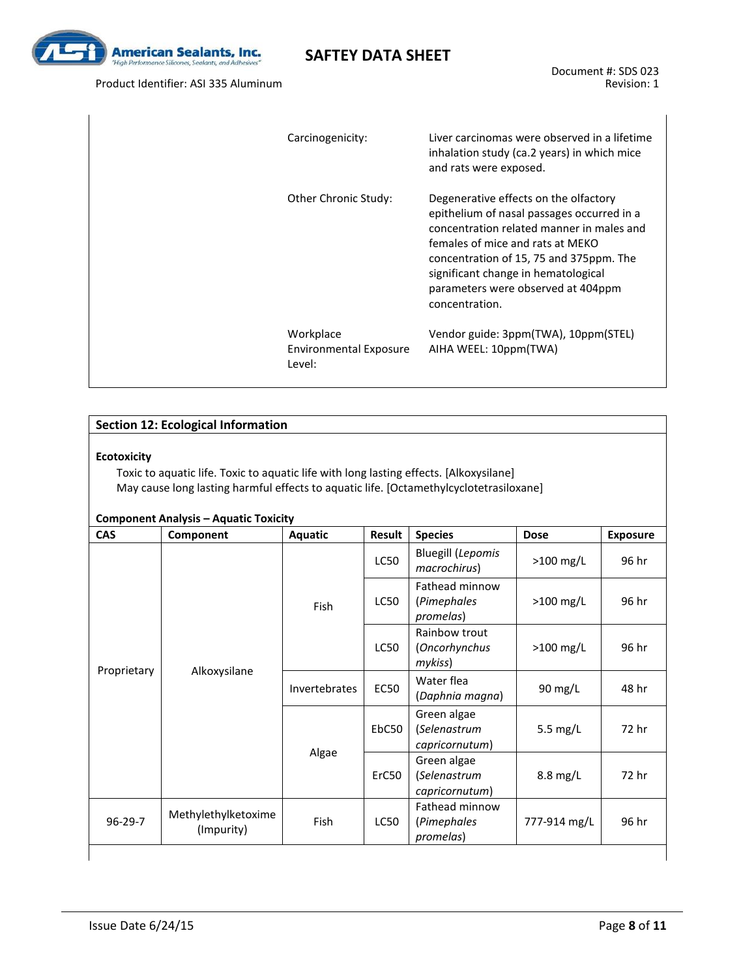

Product Identifier: ASI 335 Aluminum

| Carcinogenicity:                                     | Liver carcinomas were observed in a lifetime<br>inhalation study (ca.2 years) in which mice<br>and rats were exposed.                                                                                                                                                                                          |
|------------------------------------------------------|----------------------------------------------------------------------------------------------------------------------------------------------------------------------------------------------------------------------------------------------------------------------------------------------------------------|
| Other Chronic Study:                                 | Degenerative effects on the olfactory<br>epithelium of nasal passages occurred in a<br>concentration related manner in males and<br>females of mice and rats at MFKO<br>concentration of 15, 75 and 375ppm. The<br>significant change in hematological<br>parameters were observed at 404ppm<br>concentration. |
| Workplace<br><b>Environmental Exposure</b><br>Level: | Vendor guide: 3ppm(TWA), 10ppm(STEL)<br>AIHA WEEL: 10ppm(TWA)                                                                                                                                                                                                                                                  |

#### **Section 12: Ecological Information**

#### **Ecotoxicity**

Toxic to aquatic life. Toxic to aquatic life with long lasting effects. [Alkoxysilane] May cause long lasting harmful effects to aquatic life. [Octamethylcyclotetrasiloxane]

| <b>CAS</b>    | Component                         |             | Result                        | <b>Species</b>                                | <b>Dose</b>  | <b>Exposure</b> |  |
|---------------|-----------------------------------|-------------|-------------------------------|-----------------------------------------------|--------------|-----------------|--|
|               |                                   | Fish        | LC50                          | <b>Bluegill (Lepomis</b><br>macrochirus)      | $>100$ mg/L  | 96 hr           |  |
|               |                                   |             | LC50                          | Fathead minnow<br>(Pimephales<br>promelas)    | $>100$ mg/L  | 96 hr           |  |
|               | Alkoxysilane                      |             | LC50                          | Rainbow trout<br>(Oncorhynchus<br>mykiss)     | $>100$ mg/L  | 96 hr           |  |
| Proprietary   | Invertebrates                     | <b>EC50</b> | Water flea<br>(Daphnia magna) | 90 mg/L                                       | 48 hr        |                 |  |
|               |                                   |             | EbC50                         | Green algae<br>(Selenastrum<br>capricornutum) | 5.5 $mg/L$   | 72 hr           |  |
|               |                                   | Algae       | ErC50                         | Green algae<br>(Selenastrum<br>capricornutum) | 8.8 mg/L     | 72 hr           |  |
| $96 - 29 - 7$ | Methylethylketoxime<br>(Impurity) | Fish        | <b>LC50</b>                   | Fathead minnow<br>(Pimephales<br>promelas)    | 777-914 mg/L | 96 hr           |  |

### **Component Analysis – Aquatic Toxicity**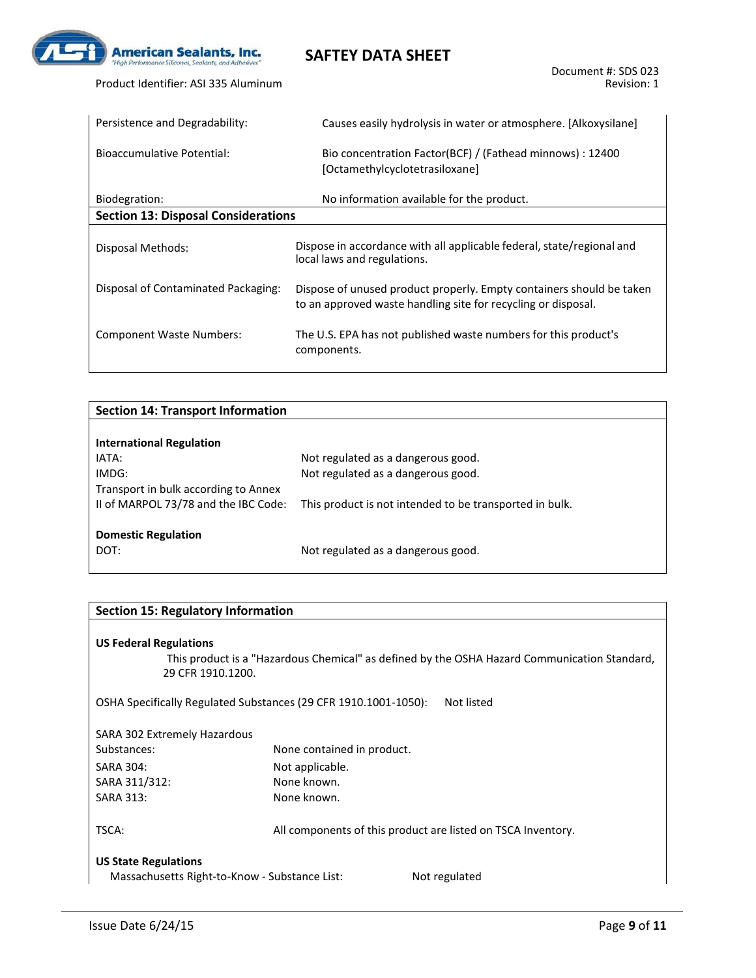

| Persistence and Degradability:             | Causes easily hydrolysis in water or atmosphere. [Alkoxysilane]                                                                       |
|--------------------------------------------|---------------------------------------------------------------------------------------------------------------------------------------|
| Bioaccumulative Potential:                 | Bio concentration Factor(BCF) / (Fathead minnows) : 12400<br>[Octamethylcyclotetrasiloxane]                                           |
| Biodegration:                              | No information available for the product.                                                                                             |
| <b>Section 13: Disposal Considerations</b> |                                                                                                                                       |
| Disposal Methods:                          | Dispose in accordance with all applicable federal, state/regional and<br>local laws and regulations.                                  |
| Disposal of Contaminated Packaging:        | Dispose of unused product properly. Empty containers should be taken<br>to an approved waste handling site for recycling or disposal. |
| Component Waste Numbers:                   | The U.S. EPA has not published waste numbers for this product's<br>components.                                                        |

| Not regulated as a dangerous good.                      |
|---------------------------------------------------------|
| Not regulated as a dangerous good.                      |
|                                                         |
| This product is not intended to be transported in bulk. |
|                                                         |
|                                                         |
| Not regulated as a dangerous good.                      |
|                                                         |

#### **Section 15: Regulatory Information**

#### **US Federal Regulations**

 This product is a "Hazardous Chemical" as defined by the OSHA Hazard Communication Standard, 29 CFR 1910.1200.

OSHA Specifically Regulated Substances (29 CFR 1910.1001-1050): Not listed

| SARA 302 Extremely Hazardous                  |                                                              |  |
|-----------------------------------------------|--------------------------------------------------------------|--|
| Substances:                                   | None contained in product.                                   |  |
| SARA 304:                                     | Not applicable.                                              |  |
| SARA 311/312:                                 | None known.                                                  |  |
| <b>SARA 313:</b>                              | None known.                                                  |  |
| TSCA:                                         | All components of this product are listed on TSCA Inventory. |  |
| <b>US State Regulations</b>                   |                                                              |  |
| Massachusetts Right-to-Know - Substance List: | Not regulated                                                |  |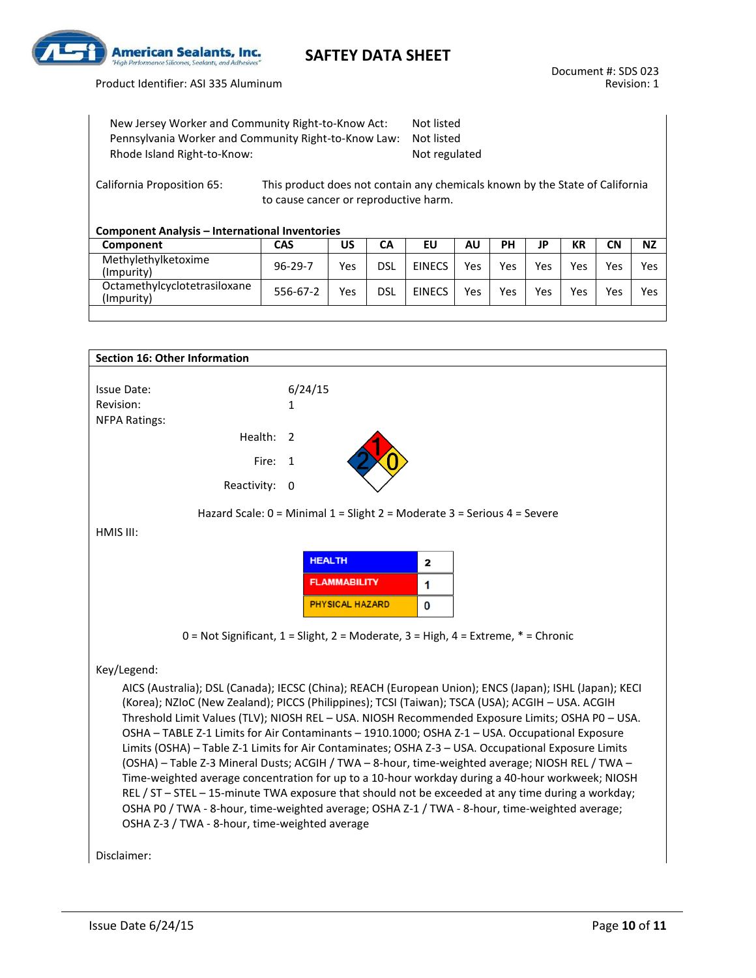

Product Identifier: ASI 335 Aluminum

| New Jersey Worker and Community Right-to-Know Act:   | Not listed    |
|------------------------------------------------------|---------------|
| Pennsylvania Worker and Community Right-to-Know Law: | Not listed    |
| Rhode Island Right-to-Know:                          | Not regulated |

California Proposition 65: This product does not contain any chemicals known by the State of California to cause cancer or reproductive harm.

#### **Component Analysis – International Inventories**

| Component                                  | CAS           | บร  | CА  | EU            | ΑU  | PН  | ID  | КR  | <b>CN</b> | <b>NZ</b> |
|--------------------------------------------|---------------|-----|-----|---------------|-----|-----|-----|-----|-----------|-----------|
| Methylethylketoxime<br>(Impurity)          | $96 - 29 - 7$ | Yes | dsl | <b>EINECS</b> | Yes | Yes | Yes | Yes | Yes       | Yes       |
| Octamethylcyclotetrasiloxane<br>(Impurity) | 556-67-2      | Yes | dsl | <b>EINECS</b> | Yes | Yes | Yes | Yes | Yes       | Yes       |

| <b>Section 16: Other Information</b>           |                                                                                                         |
|------------------------------------------------|---------------------------------------------------------------------------------------------------------|
|                                                |                                                                                                         |
| <b>Issue Date:</b>                             | 6/24/15                                                                                                 |
| Revision:                                      | 1                                                                                                       |
| <b>NFPA Ratings:</b>                           |                                                                                                         |
| Health:                                        | 2                                                                                                       |
| Fire:                                          | 1                                                                                                       |
| Reactivity: 0                                  |                                                                                                         |
|                                                | Hazard Scale: 0 = Minimal 1 = Slight 2 = Moderate 3 = Serious 4 = Severe                                |
| HMIS III:                                      |                                                                                                         |
|                                                | <b>HEALTH</b><br>2                                                                                      |
|                                                |                                                                                                         |
|                                                | <b>FLAMMABILITY</b><br>1                                                                                |
|                                                | <b>PHYSICAL HAZARD</b><br>0                                                                             |
|                                                | $0 = Not$ Significant, $1 =$ Slight, $2 =$ Moderate, $3 =$ High, $4 =$ Extreme, $* =$ Chronic           |
| Key/Legend:                                    |                                                                                                         |
|                                                | AICS (Australia); DSL (Canada); IECSC (China); REACH (European Union); ENCS (Japan); ISHL (Japan); KECI |
|                                                | (Korea); NZIoC (New Zealand); PICCS (Philippines); TCSI (Taiwan); TSCA (USA); ACGIH - USA. ACGIH        |
|                                                | Threshold Limit Values (TLV); NIOSH REL - USA. NIOSH Recommended Exposure Limits; OSHA PO - USA.        |
|                                                | OSHA - TABLE Z-1 Limits for Air Contaminants - 1910.1000; OSHA Z-1 - USA. Occupational Exposure         |
|                                                | Limits (OSHA) - Table Z-1 Limits for Air Contaminates; OSHA Z-3 - USA. Occupational Exposure Limits     |
|                                                | (OSHA) - Table Z-3 Mineral Dusts; ACGIH / TWA - 8-hour, time-weighted average; NIOSH REL / TWA -        |
|                                                | Time-weighted average concentration for up to a 10-hour workday during a 40-hour workweek; NIOSH        |
|                                                | REL / ST - STEL - 15-minute TWA exposure that should not be exceeded at any time during a workday;      |
|                                                | OSHA P0 / TWA - 8-hour, time-weighted average; OSHA Z-1 / TWA - 8-hour, time-weighted average;          |
| OSHA Z-3 / TWA - 8-hour, time-weighted average |                                                                                                         |

Disclaimer: